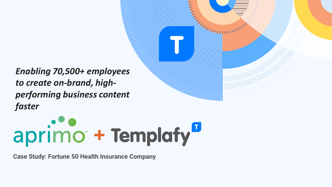*Enabling 70,500+ employees to create on-brand, highperforming business content faster*



**KAMALINI** 

**Case Study: Fortune 50 Health Insurance Company**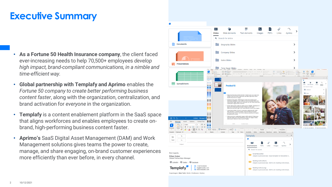## **Executive Summary**

- **As a Fortune 50 Health Insurance company**, the client faced ever-increasing needs to help 70,500+ employees *develop high impact, brand-compliant communications, in a nimble and time-efficient way.*
- **Global partnership with Templafy and Aprimo** enables the *Fortune 50 company to create better performing business content faster*, along with the organization, centralization, and brand activation for *everyone* in the organization.
- **Templafy** is a content enablement platform in the SaaS space that aligns workforces and enables employees to create onbrand, high-performing business content faster.
- **Aprimo's** SaaS Digital Asset Management (DAM) and Work Management solutions gives teams the power to create, manage, and share engaging, on-brand customer experiences more efficiently than ever before, in every channel.

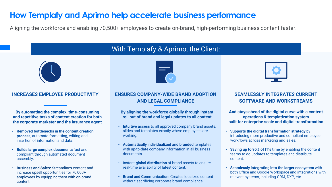## **How Templafy and Aprimo help accelerate business performance**

Aligning the workforce and enabling 70,500+ employees to create on-brand, high-performing business content faster.

#### **INCREASES EMPLOYEE PRODUCTIVITY**

**By automating the complex, time-consuming and repetitive tasks of content creation for both the corporate marketer and the insurance agent**

- **Removed bottlenecks in the content creation process**, automate formatting, editing and insertion of information and data.
- **Builds large complex documents** fast and compliant through automated document assembly.
- **Business and Sales:** Streamlines content and increase upsell opportunities for 70,000+ employees by equipping them with on-brand content

# With Templafy & Aprimo, the Client:



## **ENSURES COMPANY-WIDE BRAND ADOPTION AND LEGAL COMPLIANCE**

#### **By aligning the workforce globally through instant roll out of brand and legal updates to all content**

- **Intuitive access** to all approved company brand assets, slides and templates exactly where employees are working.
- **Automatically individualized and branded** templates with up-to-date company information in all business documents.
- Instant **global distribution** of brand assets to ensure real-time availability of latest content.
- **Brand and Communication:** Creates localized content without sacrificing corporate brand compliance

### **SEAMLESSLY INTEGRATES CURRENT SOFTWARE AND WORKSTREAMS**

**And stays ahead of the digital curve with a content operations & templatization system built for enterprise scale and digital transformation**

- **Supports the digital transformation strategy** by introducing more productive and compliant employee workflows across marketing and sales.
- **Saving up to 95% of IT's time** by enabling the content teams to do updates to templates and distribute content.
- **Seamlessly integrating into the larger ecosystem** with both Office and Google Workspace and integrations with relevant systems, including CRM, DXP, etc.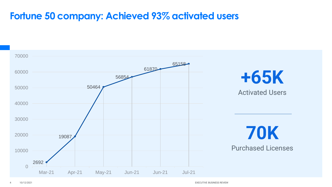## **Fortune 50 company: Achieved 93% activated users**

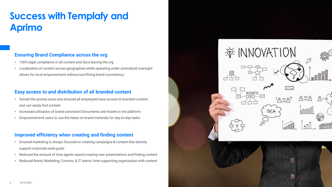## **Success with Templafy and Aprimo**

### **Ensuring Brand Compliance across the org**

- 100% legal compliance in all content and docs leaving the org
- Localization of content across geographies while operating under centralized oversight allows for local empowerment without sacrificing brand consistency

### **Easy access to and distribution of all branded content**

- Solved the access issue and ensured all employees have access to branded content and can easily find content
- Increased utilization of brand consistent Documents and Assets in the platform
- Empowered end users to use the latest on-brand materials for day-to-day tasks

### **Improved efficiency when creating and finding content**

- Ensured marketing is always focused on creating campaigns & content that directly support corporate-wide goals
- Reduced the amount of time agents spend creating new presentations and finding content
- Reduced Brand, Marketing, Comms. & IT teams' time supporting organization with content

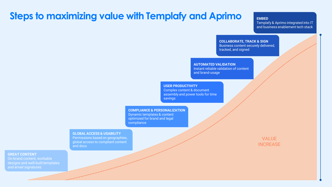## **Steps to maximizing value with Templafy and Aprimo**

#### **EMBED**

Templafy & Aprimo integrated into IT and business enablement tech stack

**COLLABORATE, TRACK & SIGN** Business content securely delivered, tracked, and signed

#### **AUTOMATED VALIDATION**

Instant reliable validation of content and brand-usage

#### **USER PRODUCTIVITY**

Complex content & document assembly and power tools for time savings

#### **COMPLIANCE & PERSONALIZATION**

Dynamic templates & content optimized for brand and legal compliance

#### **GLOBAL ACCESS & USABILITY**

Permissions based on geographies, global access to compliant content and docs

VALUE **INCREASE** 

#### **GREAT CONTENT**

On-brand content, workable designs and well-built templates and email signatures